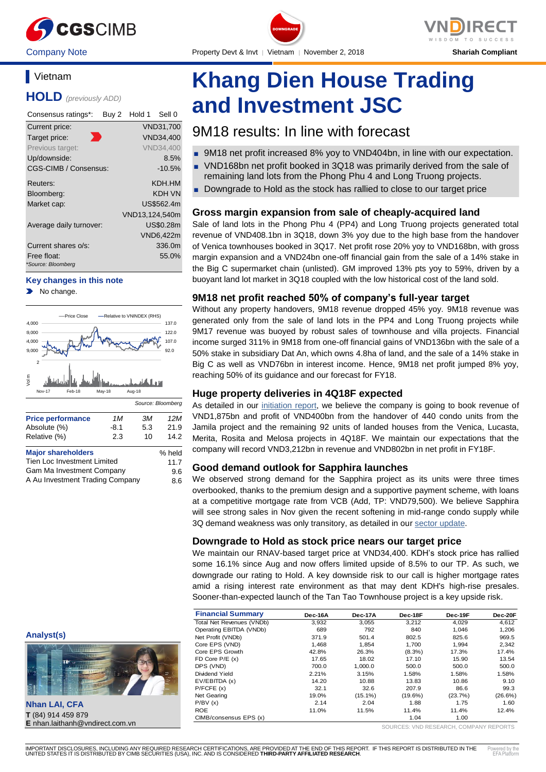

# **Vietnam**

**HOLD** *(previously ADD)*

| Consensus ratings*:               | Buy 2 | Hold 1         | Sell 0           |
|-----------------------------------|-------|----------------|------------------|
| Current price:                    |       |                | VND31,700        |
| Target price:                     |       |                | <b>VND34.400</b> |
| Previous target:                  |       |                | <b>VND34.400</b> |
| Up/downside:                      |       |                | 8.5%             |
| CGS-CIMB / Consensus:             |       |                | $-10.5%$         |
| Reuters:                          |       |                | KDH.HM           |
| Bloomberg:                        |       |                | KDH VN           |
| Market cap:                       |       |                | US\$562.4m       |
|                                   |       | VND13,124,540m |                  |
| Average daily turnover:           |       |                | US\$0.28m        |
|                                   |       |                | VND6,422m        |
| Current shares o/s:               |       |                | 336.0m           |
| Free float:<br>*Source: Bloomberg |       |                | 55.0%            |

#### **Key changes in this note**

No change.



A Au Investment Trading Company 8.6





Company Note Property Devt & Invt │ Vietnam │ November 2, 2018 **Shariah Compliant** DOWNGRADE

**Khang Dien House Trading and Investment JSC**

# 9M18 results: In line with forecast

- 9M18 net profit increased 8% yoy to VND404bn, in line with our expectation.
- VND168bn net profit booked in 3Q18 was primarily derived from the sale of remaining land lots from the Phong Phu 4 and Long Truong projects.
- Downgrade to Hold as the stock has rallied to close to our target price

# **Gross margin expansion from sale of cheaply-acquired land**

Sale of land lots in the Phong Phu 4 (PP4) and Long Truong projects generated total revenue of VND408.1bn in 3Q18, down 3% yoy due to the high base from the handover of Venica townhouses booked in 3Q17. Net profit rose 20% yoy to VND168bn, with gross margin expansion and a VND24bn one-off financial gain from the sale of a 14% stake in the Big C supermarket chain (unlisted). GM improved 13% pts yoy to 59%, driven by a buoyant land lot market in 3Q18 coupled with the low historical cost of the land sold.

# **9M18 net profit reached 50% of company's full-year target**

Without any property handovers, 9M18 revenue dropped 45% yoy. 9M18 revenue was generated only from the sale of land lots in the PP4 and Long Truong projects while 9M17 revenue was buoyed by robust sales of townhouse and villa projects. Financial income surged 311% in 9M18 from one-off financial gains of VND136bn with the sale of a 50% stake in subsidiary Dat An, which owns 4.8ha of land, and the sale of a 14% stake in Big C as well as VND76bn in interest income. Hence, 9M18 net profit jumped 8% yoy, reaching 50% of its guidance and our forecast for FY18.

# **Huge property deliveries in 4Q18F expected**

As detailed in our [initiation report,](https://brokingrfs.cimb.com/lcYIpzclDxYOMhoE1VdJkObqac3aCd9Kb6LAkhxxfIQitflU8YOWqDUD1_6YRpNYbTwke51yT7_sYhz10.pdf) we believe the company is going to book revenue of VND1,875bn and profit of VND400bn from the handover of 440 condo units from the Jamila project and the remaining 92 units of landed houses from the Venica, Lucasta, Merita, Rosita and Melosa projects in 4Q18F. We maintain our expectations that the company will record VND3,212bn in revenue and VND802bn in net profit in FY18F.

# **Good demand outlook for Sapphira launches**

We observed strong demand for the Sapphira project as its units were three times overbooked, thanks to the premium design and a supportive payment scheme, with loans at a competitive mortgage rate from VCB (Add, TP: VND79,500). We believe Sapphira will see strong sales in Nov given the recent softening in mid-range condo supply while 3Q demand weakness was only transitory, as detailed in ou[r sector update.](https://brokingrfs.cimb.com/q-oEBn5uHW2Wp2PzSalI4PYKnm1xkinYJekG1r34GMijCDCEZW2_LynTWI4JRSgsVjvFwcUyAkCdWcFX0.pdf)

# **Downgrade to Hold as stock price nears our target price**

We maintain our RNAV-based target price at VND34,400. KDH's stock price has rallied some 16.1% since Aug and now offers limited upside of 8.5% to our TP. As such, we downgrade our rating to Hold. A key downside risk to our call is higher mortgage rates amid a rising interest rate environment as that may dent KDH's high-rise presales. Sooner-than-expected launch of the Tan Tao Townhouse project is a key upside risk.

| <b>Financial Summary</b>  | Dec-16A | Dec-17A | Dec-18F    | Dec-19F | Dec-20F |
|---------------------------|---------|---------|------------|---------|---------|
| Total Net Revenues (VNDb) | 3.932   | 3.055   | 3.212      | 4,029   | 4.612   |
| Operating EBITDA (VNDb)   | 689     | 792     | 840        | 1.046   | 1.206   |
| Net Profit (VNDb)         | 371.9   | 501.4   | 802.5      | 825.6   | 969.5   |
| Core EPS (VND)            | 1.468   | 1.854   | 1.700      | 1.994   | 2,342   |
| Core EPS Growth           | 42.8%   | 26.3%   | $(8.3\%)$  | 17.3%   | 17.4%   |
| FD Core $P/E(x)$          | 17.65   | 18.02   | 17.10      | 15.90   | 13.54   |
| DPS (VND)                 | 700.0   | 1.000.0 | 500.0      | 500.0   | 500.0   |
| Dividend Yield            | 2.21%   | 3.15%   | 1.58%      | 1.58%   | 1.58%   |
| EV/EBITDA (x)             | 14.20   | 10.88   | 13.83      | 10.86   | 9.10    |
| P/FCFE(x)                 | 32.1    | 32.6    | 207.9      | 86.6    | 99.3    |
| Net Gearing               | 19.0%   | (15.1%) | $(19.6\%)$ | (23.7%) | (26.6%) |
| P/BV(x)                   | 2.14    | 2.04    | 1.88       | 1.75    | 1.60    |
| <b>ROE</b>                | 11.0%   | 11.5%   | 11.4%      | 11.4%   | 12.4%   |
| CIMB/consensus EPS (x)    |         |         | 1.04       | 1.00    |         |

SOURCES: VND RESEARCH, COMPANY REPORTS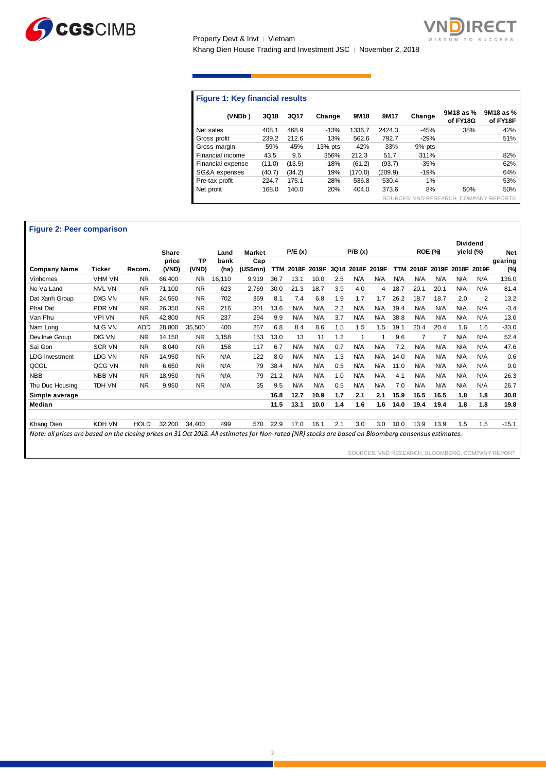

Property Devt & Invt │ Vietnam Khang Dien House Trading and Investment JSC | November 2, 2018



# **Figure 1: Key financial results**

| (VNDb)            | <b>3Q18</b> | 3Q17   | Change    | 9M18    | 9M17    | Change | 9M18 as %<br>of FY18G                  | 9M18 as %<br>of FY18F |
|-------------------|-------------|--------|-----------|---------|---------|--------|----------------------------------------|-----------------------|
| Net sales         | 408.1       | 468.9  | $-13%$    | 1336.7  | 2424.3  | $-45%$ | 38%                                    | 42%                   |
| Gross profit      | 239.2       | 212.6  | 13%       | 562.6   | 792.7   | $-29%$ |                                        | 51%                   |
| Gross margin      | 59%         | 45%    | $13%$ pts | 42%     | 33%     | 9% pts |                                        |                       |
| Financial income  | 43.5        | 9.5    | 356%      | 212.3   | 51.7    | 311%   |                                        | 82%                   |
| Financial expense | (11.0)      | (13.5) | $-18%$    | (61.2)  | (93.7)  | $-35%$ |                                        | 62%                   |
| SG&A expenses     | (40.7)      | (34.2) | 19%       | (170.0) | (209.9) | $-19%$ |                                        | 64%                   |
| Pre-tax profit    | 224.7       | 175.1  | 28%       | 536.8   | 530.4   | 1%     |                                        | 53%                   |
| Net profit        | 168.0       | 140.0  | 20%       | 404.0   | 373.6   | 8%     | 50%                                    | 50%                   |
|                   |             |        |           |         |         |        | SOURCES: VND RESEARCH, COMPANY REPORTS |                       |

#### **Figure 2: Peer comparison**

|                                                                                                                                                      |               |             | <b>Share</b>   |                    | Land         | <b>Market</b>   |            | P/E(x) |             |      | P/B(x) |       |      |       | <b>ROE (%)</b> | <b>Dividend</b><br>yield (%) |       | <b>Net</b>     |
|------------------------------------------------------------------------------------------------------------------------------------------------------|---------------|-------------|----------------|--------------------|--------------|-----------------|------------|--------|-------------|------|--------|-------|------|-------|----------------|------------------------------|-------|----------------|
| <b>Company Name</b>                                                                                                                                  | Ticker        | Recom.      | price<br>(VND) | <b>TP</b><br>(VND) | bank<br>(ha) | Cap<br>(US\$mn) | <b>TTM</b> |        | 2018F 2019F | 3Q18 | 2018F  | 2019F | TTM  | 2018F | 2019F          | 2018F                        | 2019F | gearing<br>(%) |
| Vinhomes                                                                                                                                             | VHM VN        | <b>NR</b>   | 66,400         | N <sub>R</sub>     | 16.110       | 9,919           | 36.7       | 13.1   | 10.0        | 2.5  | N/A    | N/A   | N/A  | N/A   | N/A            | N/A                          | N/A   | 136.0          |
| No Va Land                                                                                                                                           | <b>NVL VN</b> | <b>NR</b>   | 71.100         | <b>NR</b>          | 623          | 2,769           | 30.0       | 21.3   | 18.7        | 3.9  | 4.0    | 4     | 18.7 | 20.1  | 20.1           | N/A                          | N/A   | 81.4           |
| Dat Xanh Group                                                                                                                                       | DXG VN        | <b>NR</b>   | 24.550         | <b>NR</b>          | 702          | 369             | 8.1        | 7.4    | 6.8         | 1.9  | 1.7    | 1.7   | 26.2 | 18.7  | 18.7           | 2.0                          | 2     | 13.2           |
| <b>Phat Dat</b>                                                                                                                                      | <b>PDR VN</b> | <b>NR</b>   | 26,350         | <b>NR</b>          | 216          | 301             | 13.6       | N/A    | N/A         | 2.2  | N/A    | N/A   | 19.4 | N/A   | N/A            | N/A                          | N/A   | $-3.4$         |
| Van Phu                                                                                                                                              | <b>VPI VN</b> | <b>NR</b>   | 42,800         | <b>NR</b>          | 237          | 294             | 9.9        | N/A    | N/A         | 3.7  | N/A    | N/A   | 38.8 | N/A   | N/A            | N/A                          | N/A   | 13.0           |
| Nam Long                                                                                                                                             | <b>NLG VN</b> | <b>ADD</b>  | 28,800         | 35,500             | 400          | 257             | 6.8        | 8.4    | 8.6         | 1.5  | 1.5    | 1.5   | 19.1 | 20.4  | 20.4           | 1.6                          | 1.6   | $-33.0$        |
| Dev Inve Group                                                                                                                                       | DIG VN        | <b>NR</b>   | 14,150         | N <sub>R</sub>     | 3,158        | 153             | 13.0       | 13     | 11          | 1.2  | 1      | 1     | 9.6  | 7     |                | N/A                          | N/A   | 52.4           |
| Sai Gon                                                                                                                                              | <b>SCR VN</b> | <b>NR</b>   | 8.040          | <b>NR</b>          | 158          | 117             | 6.7        | N/A    | N/A         | 0.7  | N/A    | N/A   | 7.2  | N/A   | N/A            | N/A                          | N/A   | 47.6           |
| <b>LDG</b> Investment                                                                                                                                | LDG VN        | <b>NR</b>   | 14,950         | N <sub>R</sub>     | N/A          | 122             | 8.0        | N/A    | N/A         | 1.3  | N/A    | N/A   | 14.0 | N/A   | N/A            | N/A                          | N/A   | 0.6            |
| QCGL                                                                                                                                                 | QCG VN        | <b>NR</b>   | 6,650          | <b>NR</b>          | N/A          | 79              | 38.4       | N/A    | N/A         | 0.5  | N/A    | N/A   | 11.0 | N/A   | N/A            | N/A                          | N/A   | 9.0            |
| <b>NBB</b>                                                                                                                                           | <b>NBB VN</b> | <b>NR</b>   | 18.950         | <b>NR</b>          | N/A          | 79              | 21.2       | N/A    | N/A         | 1.0  | N/A    | N/A   | 4.1  | N/A   | N/A            | N/A                          | N/A   | 26.3           |
| Thu Duc Housing                                                                                                                                      | TDH VN        | <b>NR</b>   | 9,950          | <b>NR</b>          | N/A          | 35              | 9.5        | N/A    | N/A         | 0.5  | N/A    | N/A   | 7.0  | N/A   | N/A            | N/A                          | N/A   | 26.7           |
| Simple average                                                                                                                                       |               |             |                |                    |              |                 | 16.8       | 12.7   | 10.9        | 1.7  | 2.1    | 2.1   | 15.9 | 16.5  | 16.5           | 1.8                          | 1.8   | 30.8           |
| Median                                                                                                                                               |               |             |                |                    |              |                 | 11.5       | 13.1   | 10.0        | 1.4  | 1.6    | 1.6   | 14.0 | 19.4  | 19.4           | 1.8                          | 1.8   | 19.8           |
| Khang Dien                                                                                                                                           | KDH VN        | <b>HOLD</b> | 32,200         | 34,400             | 499          | 570             | 22.9       | 17.0   | 16.1        | 2.1  | 3.0    | 3.0   | 10.0 | 13.9  | 13.9           | 1.5                          | 1.5   | $-15.1$        |
| Note: all prices are based on the closing prices on 31 Oct 2018. All estimates for Non-rated (NR) stocks are based on Bloomberg consensus estimates. |               |             |                |                    |              |                 |            |        |             |      |        |       |      |       |                |                              |       |                |

SOURCES: VND RESEARCH, BLOOMBERG, COMPANY REPORT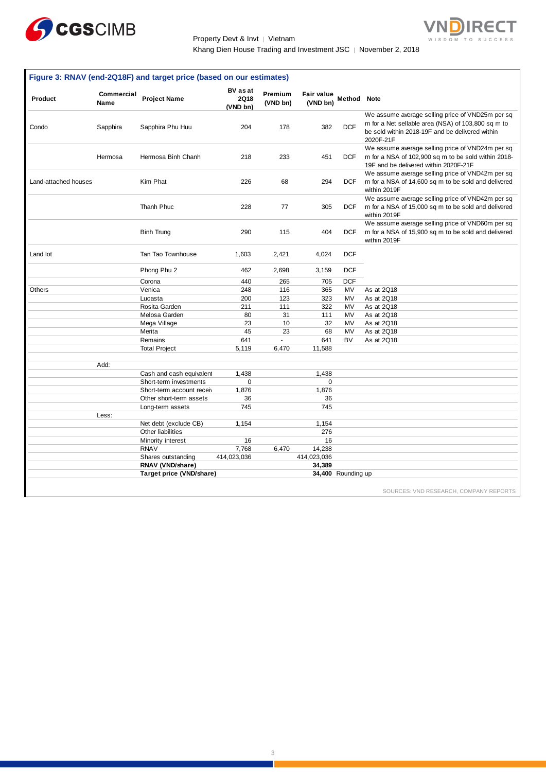

Property Devt & Invt | Vietnam Khang Dien House Trading and Investment JSC | November 2, 2018

 $\overline{\mathsf{V}}$ 

n

**IRECT** 

|                      |                           | Figure 3: RNAV (end-2Q18F) and target price (based on our estimates) |                                     |                     |                        |                    |                                                                                                                                                                        |
|----------------------|---------------------------|----------------------------------------------------------------------|-------------------------------------|---------------------|------------------------|--------------------|------------------------------------------------------------------------------------------------------------------------------------------------------------------------|
| Product              | Commercial<br><b>Name</b> | <b>Project Name</b>                                                  | <b>BV</b> as at<br>2Q18<br>(VND bn) | Premium<br>(VND bn) | Fair value<br>(VND bn) | <b>Method</b> Note |                                                                                                                                                                        |
| Condo                | Sapphira                  | Sapphira Phu Huu                                                     | 204                                 | 178                 | 382                    | <b>DCF</b>         | We assume average selling price of VND25m per sq<br>m for a Net sellable area (NSA) of 103,800 sq m to<br>be sold within 2018-19F and be delivered within<br>2020F-21F |
|                      | Hermosa                   | Hermosa Binh Chanh                                                   | 218                                 | 233                 | 451                    | <b>DCF</b>         | We assume average selling price of VND24m per sq<br>m for a NSA of 102,900 sq m to be sold within 2018-<br>19F and be delivered within 2020F-21F                       |
| Land-attached houses |                           | Kim Phat                                                             | 226                                 | 68                  | 294                    | DCF                | We assume average selling price of VND42m per sq<br>m for a NSA of 14,600 sq m to be sold and delivered<br>within 2019F                                                |
|                      |                           | Thanh Phuc                                                           | 228                                 | 77                  | 305                    | DCF                | We assume average selling price of VND42m per sq<br>m for a NSA of 15,000 sq m to be sold and delivered<br>within 2019F                                                |
|                      |                           | <b>Binh Trung</b>                                                    | 290                                 | 115                 | 404                    | <b>DCF</b>         | We assume average selling price of VND60m per sq<br>m for a NSA of 15,900 sq m to be sold and delivered<br>within 2019F                                                |
| Land lot             |                           | Tan Tao Townhouse                                                    | 1,603                               | 2,421               | 4,024                  | <b>DCF</b>         |                                                                                                                                                                        |
|                      |                           | Phong Phu 2                                                          | 462                                 | 2,698               | 3,159                  | <b>DCF</b>         |                                                                                                                                                                        |
|                      |                           | Corona                                                               | 440                                 | 265                 | 705                    | <b>DCF</b>         |                                                                                                                                                                        |
| <b>Others</b>        |                           | Venica                                                               | 248                                 | 116                 | 365                    | MV                 | As at 2Q18                                                                                                                                                             |
|                      |                           | Lucasta                                                              | 200                                 | 123                 | 323                    | MV                 | As at 2Q18                                                                                                                                                             |
|                      |                           | Rosita Garden                                                        | 211                                 | 111                 | 322                    | MV                 | As at 2Q18                                                                                                                                                             |
|                      |                           | Melosa Garden                                                        | 80                                  | 31                  | 111                    | MV                 | As at 2Q18                                                                                                                                                             |
|                      |                           | Mega Village                                                         | 23                                  | 10                  | 32                     | MV                 | As at 2Q18                                                                                                                                                             |
|                      |                           | Merita                                                               | 45                                  | 23                  | 68                     | MV                 | As at 2Q18                                                                                                                                                             |
|                      |                           | Remains                                                              | 641                                 | $\bar{\phantom{a}}$ | 641                    | <b>BV</b>          | As at 2Q18                                                                                                                                                             |
|                      |                           | <b>Total Project</b>                                                 | 5,119                               | 6,470               | 11,588                 |                    |                                                                                                                                                                        |
|                      | Add:                      |                                                                      |                                     |                     |                        |                    |                                                                                                                                                                        |
|                      |                           | Cash and cash equivalent                                             | 1,438                               |                     | 1,438                  |                    |                                                                                                                                                                        |
|                      |                           | Short-term investments                                               | $\mathbf 0$                         |                     | $\mathbf 0$            |                    |                                                                                                                                                                        |
|                      |                           | Short-term account receiv                                            | 1,876                               |                     | 1,876                  |                    |                                                                                                                                                                        |
|                      |                           | Other short-term assets                                              | 36                                  |                     | 36                     |                    |                                                                                                                                                                        |
|                      |                           | Long-term assets                                                     | 745                                 |                     | 745                    |                    |                                                                                                                                                                        |
|                      | Less:                     |                                                                      |                                     |                     |                        |                    |                                                                                                                                                                        |
|                      |                           | Net debt (exclude CB)                                                | 1,154                               |                     | 1,154                  |                    |                                                                                                                                                                        |
|                      |                           | Other liabilities                                                    |                                     |                     | 276                    |                    |                                                                                                                                                                        |
|                      |                           | Minority interest                                                    | 16                                  |                     | 16                     |                    |                                                                                                                                                                        |
|                      |                           | <b>RNAV</b>                                                          | 7,768                               | 6,470               | 14,238                 |                    |                                                                                                                                                                        |
|                      |                           | Shares outstanding                                                   | 414,023,036                         |                     | 414,023,036            |                    |                                                                                                                                                                        |
|                      |                           | RNAV (VND/share)                                                     |                                     |                     | 34,389                 |                    |                                                                                                                                                                        |
|                      |                           | Target price (VND/share)                                             |                                     |                     |                        | 34,400 Rounding up |                                                                                                                                                                        |
|                      |                           |                                                                      |                                     |                     |                        |                    | SOURCES: VND RESEARCH, COMPANY REPORTS                                                                                                                                 |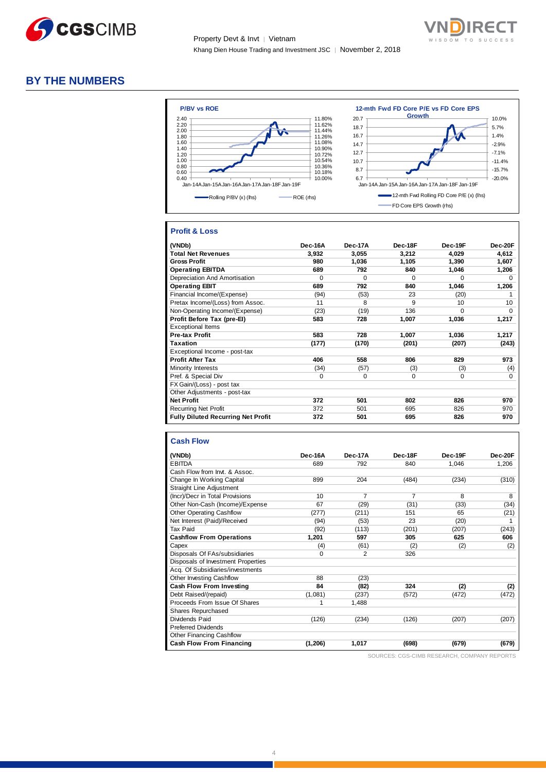



# **BY THE NUMBERS**



#### **Profit & Loss**

| (VNDb)                                    | Dec-16A  | Dec-17A  | Dec-18F  | Dec-19F  | Dec-20F     |
|-------------------------------------------|----------|----------|----------|----------|-------------|
| <b>Total Net Revenues</b>                 | 3,932    | 3,055    | 3,212    | 4,029    | 4,612       |
| <b>Gross Profit</b>                       | 980      | 1,036    | 1,105    | 1.390    | 1.607       |
| <b>Operating EBITDA</b>                   | 689      | 792      | 840      | 1,046    | 1,206       |
| Depreciation And Amortisation             | $\Omega$ | $\Omega$ | $\Omega$ | $\Omega$ | $\Omega$    |
| <b>Operating EBIT</b>                     | 689      | 792      | 840      | 1,046    | 1,206       |
| Financial Income/(Expense)                | (94)     | (53)     | 23       | (20)     |             |
| Pretax Income/(Loss) from Assoc.          | 11       | 8        | 9        | 10       | 10          |
| Non-Operating Income/(Expense)            | (23)     | (19)     | 136      | $\Omega$ | $\Omega$    |
| Profit Before Tax (pre-El)                | 583      | 728      | 1,007    | 1,036    | 1,217       |
| <b>Exceptional Items</b>                  |          |          |          |          |             |
| <b>Pre-tax Profit</b>                     | 583      | 728      | 1,007    | 1,036    | 1,217       |
| Taxation                                  | (177)    | (170)    | (201)    | (207)    | (243)       |
| Exceptional Income - post-tax             |          |          |          |          |             |
| <b>Profit After Tax</b>                   | 406      | 558      | 806      | 829      | 973         |
| Minority Interests                        | (34)     | (57)     | (3)      | (3)      | (4)         |
| Pref. & Special Div                       | 0        | 0        | 0        | 0        | $\mathbf 0$ |
| FX Gain/(Loss) - post tax                 |          |          |          |          |             |
| Other Adjustments - post-tax              |          |          |          |          |             |
| <b>Net Profit</b>                         | 372      | 501      | 802      | 826      | 970         |
| <b>Recurring Net Profit</b>               | 372      | 501      | 695      | 826      | 970         |
| <b>Fully Diluted Recurring Net Profit</b> | 372      | 501      | 695      | 826      | 970         |

#### **Cash Flow**

| (VNDb)                             | Dec-16A  | Dec-17A        | Dec-18F        | Dec-19F | Dec-20F |
|------------------------------------|----------|----------------|----------------|---------|---------|
| <b>EBITDA</b>                      | 689      | 792            | 840            | 1,046   | 1,206   |
| Cash Flow from Invt. & Assoc.      |          |                |                |         |         |
| Change In Working Capital          | 899      | 204            | (484)          | (234)   | (310)   |
| <b>Straight Line Adjustment</b>    |          |                |                |         |         |
| (Incr)/Decr in Total Provisions    | 10       | 7              | $\overline{7}$ | 8       | 8       |
| Other Non-Cash (Income)/Expense    | 67       | (29)           | (31)           | (33)    | (34)    |
| <b>Other Operating Cashflow</b>    | (277)    | (211)          | 151            | 65      | (21)    |
| Net Interest (Paid)/Received       | (94)     | (53)           | 23             | (20)    |         |
| Tax Paid                           | (92)     | (113)          | (201)          | (207)   | (243)   |
| <b>Cashflow From Operations</b>    | 1,201    | 597            | 305            | 625     | 606     |
| Capex                              | (4)      | (61)           | (2)            | (2)     | (2)     |
| Disposals Of FAs/subsidiaries      | $\Omega$ | $\overline{2}$ | 326            |         |         |
| Disposals of Investment Properties |          |                |                |         |         |
| Acq. Of Subsidiaries/investments   |          |                |                |         |         |
| <b>Other Investing Cashflow</b>    | 88       | (23)           |                |         |         |
| <b>Cash Flow From Investing</b>    | 84       | (82)           | 324            | (2)     | (2)     |
| Debt Raised/(repaid)               | (1,081)  | (237)          | (572)          | (472)   | (472)   |
| Proceeds From Issue Of Shares      | 1        | 1,488          |                |         |         |
| Shares Repurchased                 |          |                |                |         |         |
| Dividends Paid                     | (126)    | (234)          | (126)          | (207)   | (207)   |
| <b>Preferred Dividends</b>         |          |                |                |         |         |
| <b>Other Financing Cashflow</b>    |          |                |                |         |         |
| <b>Cash Flow From Financing</b>    | (1, 206) | 1,017          | (698)          | (679)   | (679)   |

SOURCES: CGS-CIMB RESEARCH, COMPANY REPORTS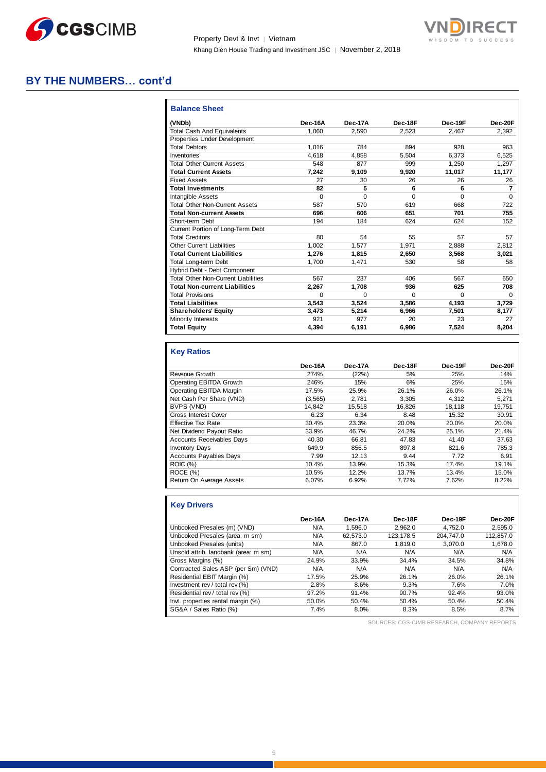

Property Devt & Invt │ Vietnam Khang Dien House Trading and Investment JSC | November 2, 2018



# **BY THE NUMBERS… cont'd**

| <b>Balance Sheet</b>                       |          |                |          |          |           |
|--------------------------------------------|----------|----------------|----------|----------|-----------|
| (VNDb)                                     | Dec-16A  | <b>Dec-17A</b> | Dec-18F  | Dec-19F  | $Dec-20F$ |
| <b>Total Cash And Equivalents</b>          | 1.060    | 2.590          | 2,523    | 2.467    | 2,392     |
| Properties Under Development               |          |                |          |          |           |
| <b>Total Debtors</b>                       | 1.016    | 784            | 894      | 928      | 963       |
| Inventories                                | 4.618    | 4.858          | 5.504    | 6.373    | 6.525     |
| <b>Total Other Current Assets</b>          | 548      | 877            | 999      | 1.250    | 1.297     |
| <b>Total Current Assets</b>                | 7,242    | 9.109          | 9.920    | 11.017   | 11.177    |
| <b>Fixed Assets</b>                        | 27       | 30             | 26       | 26       | 26        |
| <b>Total Investments</b>                   | 82       | 5              | 6        | 6        | 7         |
| <b>Intangible Assets</b>                   | $\Omega$ | $\Omega$       | $\Omega$ | $\Omega$ | $\Omega$  |
| <b>Total Other Non-Current Assets</b>      | 587      | 570            | 619      | 668      | 722       |
| <b>Total Non-current Assets</b>            | 696      | 606            | 651      | 701      | 755       |
| Short-term Debt                            | 194      | 184            | 624      | 624      | 152       |
| Current Portion of Long-Term Debt          |          |                |          |          |           |
| <b>Total Creditors</b>                     | 80       | 54             | 55       | 57       | 57        |
| Other Current Liabilities                  | 1.002    | 1.577          | 1.971    | 2.888    | 2.812     |
| <b>Total Current Liabilities</b>           | 1.276    | 1.815          | 2.650    | 3.568    | 3,021     |
| Total Long-term Debt                       | 1.700    | 1.471          | 530      | 58       | 58        |
| Hybrid Debt - Debt Component               |          |                |          |          |           |
| <b>Total Other Non-Current Liabilities</b> | 567      | 237            | 406      | 567      | 650       |
| <b>Total Non-current Liabilities</b>       | 2.267    | 1.708          | 936      | 625      | 708       |
| <b>Total Provisions</b>                    | 0        | $\Omega$       | $\Omega$ | $\Omega$ | $\Omega$  |
| <b>Total Liabilities</b>                   | 3.543    | 3.524          | 3.586    | 4.193    | 3.729     |
| <b>Shareholders' Equity</b>                | 3.473    | 5.214          | 6.966    | 7.501    | 8,177     |
| Minority Interests                         | 921      | 977            | 20       | 23       | 27        |
| <b>Total Equity</b>                        | 4,394    | 6,191          | 6,986    | 7,524    | 8,204     |
|                                            |          |                |          |          |           |

# **Key Ratios**

|                                  | Dec-16A  | Dec-17A | Dec-18F | Dec-19F | Dec-20F |
|----------------------------------|----------|---------|---------|---------|---------|
| Revenue Growth                   | 274%     | (22%)   | 5%      | 25%     | 14%     |
| Operating EBITDA Growth          | 246%     | 15%     | 6%      | 25%     | 15%     |
| Operating EBITDA Margin          | 17.5%    | 25.9%   | 26.1%   | 26.0%   | 26.1%   |
| Net Cash Per Share (VND)         | (3, 565) | 2.781   | 3.305   | 4.312   | 5,271   |
| BVPS (VND)                       | 14.842   | 15.518  | 16.826  | 18.118  | 19.751  |
| <b>Gross Interest Cover</b>      | 6.23     | 6.34    | 8.48    | 15.32   | 30.91   |
| <b>Effective Tax Rate</b>        | 30.4%    | 23.3%   | 20.0%   | 20.0%   | 20.0%   |
| Net Dividend Payout Ratio        | 33.9%    | 46.7%   | 24.2%   | 25.1%   | 21.4%   |
| <b>Accounts Receivables Days</b> | 40.30    | 66.81   | 47.83   | 41.40   | 37.63   |
| <b>Inventory Days</b>            | 649.9    | 856.5   | 897.8   | 821.6   | 785.3   |
| <b>Accounts Payables Days</b>    | 7.99     | 12.13   | 9.44    | 7.72    | 6.91    |
| <b>ROIC (%)</b>                  | 10.4%    | 13.9%   | 15.3%   | 17.4%   | 19.1%   |
| ROCE(%)                          | 10.5%    | 12.2%   | 13.7%   | 13.4%   | 15.0%   |
| Return On Average Assets         | 6.07%    | 6.92%   | 7.72%   | 7.62%   | 8.22%   |

# **Key Drivers**

| Dec-16A | Dec-17A  | Dec-18F   | Dec-19F   | Dec-20F   |
|---------|----------|-----------|-----------|-----------|
| N/A     | 1.596.0  | 2.962.0   | 4.752.0   | 2,595.0   |
| N/A     | 62.573.0 | 123.178.5 | 204.747.0 | 112.857.0 |
| N/A     | 867.0    | 1.819.0   | 3.070.0   | 1,678.0   |
| N/A     | N/A      | N/A       | N/A       | N/A       |
| 24.9%   | 33.9%    | 34.4%     | 34.5%     | 34.8%     |
| N/A     | N/A      | N/A       | N/A       | N/A       |
| 17.5%   | 25.9%    | 26.1%     | 26.0%     | 26.1%     |
| 2.8%    | 8.6%     | 9.3%      | 7.6%      | 7.0%      |
| 97.2%   | 91.4%    | 90.7%     | 92.4%     | 93.0%     |
| 50.0%   | 50.4%    | 50.4%     | 50.4%     | 50.4%     |
| 7.4%    | 8.0%     | 8.3%      | 8.5%      | 8.7%      |
|         |          |           |           |           |

SOURCES: CGS-CIMB RESEARCH, COMPANY REPORTS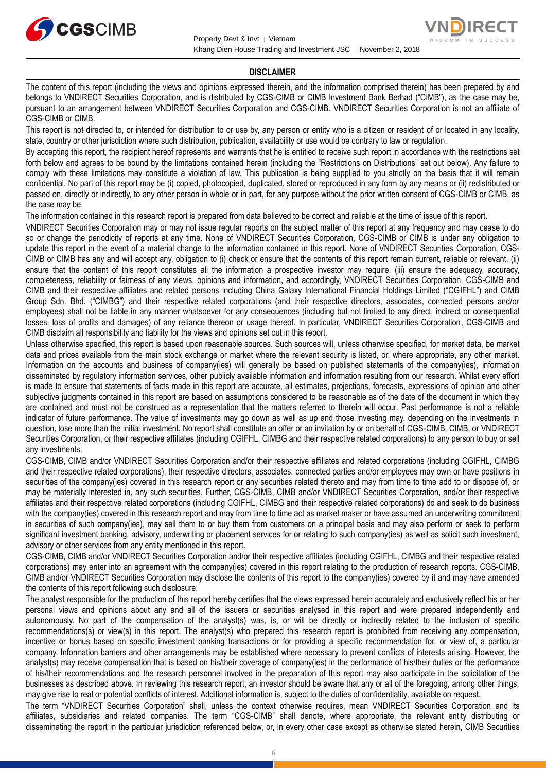



#### **DISCLAIMER**

The content of this report (including the views and opinions expressed therein, and the information comprised therein) has been prepared by and belongs to VNDIRECT Securities Corporation, and is distributed by CGS-CIMB or CIMB Investment Bank Berhad ("CIMB"), as the case may be, pursuant to an arrangement between VNDIRECT Securities Corporation and CGS-CIMB. VNDIRECT Securities Corporation is not an affiliate of CGS-CIMB or CIMB.

This report is not directed to, or intended for distribution to or use by, any person or entity who is a citizen or resident of or located in any locality, state, country or other jurisdiction where such distribution, publication, availability or use would be contrary to law or regulation.

By accepting this report, the recipient hereof represents and warrants that he is entitled to receive such report in accordance with the restrictions set forth below and agrees to be bound by the limitations contained herein (including the "Restrictions on Distributions" set out below). Any failure to comply with these limitations may constitute a violation of law. This publication is being supplied to you strictly on the basis that it will remain confidential. No part of this report may be (i) copied, photocopied, duplicated, stored or reproduced in any form by any means or (ii) redistributed or passed on, directly or indirectly, to any other person in whole or in part, for any purpose without the prior written consent of CGS-CIMB or CIMB, as the case may be.

The information contained in this research report is prepared from data believed to be correct and reliable at the time of issue of this report.

VNDIRECT Securities Corporation may or may not issue regular reports on the subject matter of this report at any frequency and may cease to do so or change the periodicity of reports at any time. None of VNDIRECT Securities Corporation, CGS-CIMB or CIMB is under any obligation to update this report in the event of a material change to the information contained in this report. None of VNDIRECT Securities Corporation, CGS-CIMB or CIMB has any and will accept any, obligation to (i) check or ensure that the contents of this report remain current, reliable or relevant, (ii) ensure that the content of this report constitutes all the information a prospective investor may require, (iii) ensure the adequacy, accuracy, completeness, reliability or fairness of any views, opinions and information, and accordingly, VNDIRECT Securities Corporation, CGS-CIMB and CIMB and their respective affiliates and related persons including China Galaxy International Financial Holdings Limited ("CGIFHL") and CIMB Group Sdn. Bhd. ("CIMBG") and their respective related corporations (and their respective directors, associates, connected persons and/or employees) shall not be liable in any manner whatsoever for any consequences (including but not limited to any direct, indirect or consequential losses, loss of profits and damages) of any reliance thereon or usage thereof. In particular, VNDIRECT Securities Corporation, CGS-CIMB and CIMB disclaim all responsibility and liability for the views and opinions set out in this report.

Unless otherwise specified, this report is based upon reasonable sources. Such sources will, unless otherwise specified, for market data, be market data and prices available from the main stock exchange or market where the relevant security is listed, or, where appropriate, any other market. Information on the accounts and business of company(ies) will generally be based on published statements of the company(ies), information disseminated by regulatory information services, other publicly available information and information resulting from our research. Whilst every effort is made to ensure that statements of facts made in this report are accurate, all estimates, projections, forecasts, expressions of opinion and other subjective judgments contained in this report are based on assumptions considered to be reasonable as of the date of the document in which they are contained and must not be construed as a representation that the matters referred to therein will occur. Past performance is not a reliable indicator of future performance. The value of investments may go down as well as up and those investing may, depending on the investments in question, lose more than the initial investment. No report shall constitute an offer or an invitation by or on behalf of CGS-CIMB, CIMB, or VNDIRECT Securities Corporation, or their respective affiliates (including CGIFHL, CIMBG and their respective related corporations) to any person to buy or sell any investments.

CGS-CIMB, CIMB and/or VNDIRECT Securities Corporation and/or their respective affiliates and related corporations (including CGIFHL, CIMBG and their respective related corporations), their respective directors, associates, connected parties and/or employees may own or have positions in securities of the company(ies) covered in this research report or any securities related thereto and may from time to time add to or dispose of, or may be materially interested in, any such securities. Further, CGS-CIMB, CIMB and/or VNDIRECT Securities Corporation, and/or their respective affiliates and their respective related corporations (including CGIFHL, CIMBG and their respective related corporations) do and seek to do business with the company(ies) covered in this research report and may from time to time act as market maker or have assumed an underwriting commitment in securities of such company(ies), may sell them to or buy them from customers on a principal basis and may also perform or seek to perform significant investment banking, advisory, underwriting or placement services for or relating to such company(ies) as well as solicit such investment, advisory or other services from any entity mentioned in this report.

CGS-CIMB, CIMB and/or VNDIRECT Securities Corporation and/or their respective affiliates (including CGIFHL, CIMBG and their respective related corporations) may enter into an agreement with the company(ies) covered in this report relating to the production of research reports. CGS-CIMB, CIMB and/or VNDIRECT Securities Corporation may disclose the contents of this report to the company(ies) covered by it and may have amended the contents of this report following such disclosure.

The analyst responsible for the production of this report hereby certifies that the views expressed herein accurately and exclusively reflect his or her personal views and opinions about any and all of the issuers or securities analysed in this report and were prepared independently and autonomously. No part of the compensation of the analyst(s) was, is, or will be directly or indirectly related to the inclusion of specific recommendations(s) or view(s) in this report. The analyst(s) who prepared this research report is prohibited from receiving any compensation, incentive or bonus based on specific investment banking transactions or for providing a specific recommendation for, or view of, a particular company. Information barriers and other arrangements may be established where necessary to prevent conflicts of interests arising. However, the analyst(s) may receive compensation that is based on his/their coverage of company(ies) in the performance of his/their duties or the performance of his/their recommendations and the research personnel involved in the preparation of this report may also participate in the solicitation of the businesses as described above. In reviewing this research report, an investor should be aware that any or all of the foregoing, among other things, may give rise to real or potential conflicts of interest. Additional information is, subject to the duties of confidentiality, available on request.

The term "VNDIRECT Securities Corporation" shall, unless the context otherwise requires, mean VNDIRECT Securities Corporation and its affiliates, subsidiaries and related companies. The term "CGS-CIMB" shall denote, where appropriate, the relevant entity distributing or disseminating the report in the particular jurisdiction referenced below, or, in every other case except as otherwise stated herein, CIMB Securities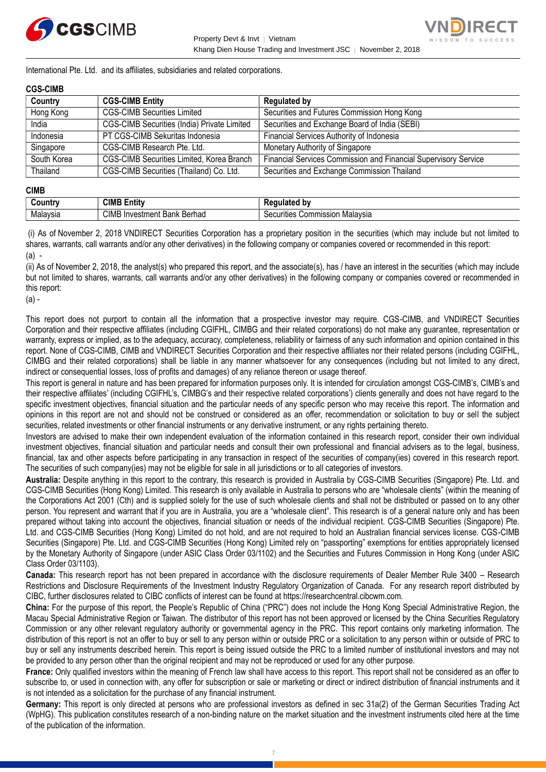



International Pte. Ltd. and its affiliates, subsidiaries and related corporations.

#### **CGS-CIMB**

| Country     | <b>CGS-CIMB Entity</b>                             | <b>Regulated by</b>                                             |
|-------------|----------------------------------------------------|-----------------------------------------------------------------|
| Hong Kong   | <b>CGS-CIMB Securities Limited</b>                 | Securities and Futures Commission Hong Kong                     |
| India       | <b>CGS-CIMB Securities (India) Private Limited</b> | Securities and Exchange Board of India (SEBI)                   |
| Indonesia   | PT CGS-CIMB Sekuritas Indonesia                    | Financial Services Authority of Indonesia                       |
| Singapore   | CGS-CIMB Research Pte. Ltd.                        | Monetary Authority of Singapore                                 |
| South Korea | CGS-CIMB Securities Limited, Korea Branch          | Financial Services Commission and Financial Supervisory Service |
| Thailand    | CGS-CIMB Securities (Thailand) Co. Ltd.            | Securities and Exchange Commission Thailand                     |

#### **CIMB**

| ∶ountr\         | <b>CIML</b><br><b>ALL</b><br>- -<br>Entitv                  | الممقمات<br>' hv<br>--                          |
|-----------------|-------------------------------------------------------------|-------------------------------------------------|
| alavsia<br>ivid | CIM.<br>Darhool<br>Bank<br>ient<br>าvestr<br><b>Delliau</b> | Malavsia<br>ecurities<br>nmissi<br>nn<br>w<br>ັ |

(i) As of November 2, 2018 VNDIRECT Securities Corporation has a proprietary position in the securities (which may include but not limited to shares, warrants, call warrants and/or any other derivatives) in the following company or companies covered or recommended in this report: (a) -

(ii) As of November 2, 2018, the analyst(s) who prepared this report, and the associate(s), has / have an interest in the securities (which may include but not limited to shares, warrants, call warrants and/or any other derivatives) in the following company or companies covered or recommended in this report:

(a) -

This report does not purport to contain all the information that a prospective investor may require. CGS-CIMB, and VNDIRECT Securities Corporation and their respective affiliates (including CGIFHL, CIMBG and their related corporations) do not make any guarantee, representation or warranty, express or implied, as to the adequacy, accuracy, completeness, reliability or fairness of any such information and opinion contained in this report. None of CGS-CIMB, CIMB and VNDIRECT Securities Corporation and their respective affiliates nor their related persons (including CGIFHL, CIMBG and their related corporations) shall be liable in any manner whatsoever for any consequences (including but not limited to any direct, indirect or consequential losses, loss of profits and damages) of any reliance thereon or usage thereof.

This report is general in nature and has been prepared for information purposes only. It is intended for circulation amongst CGS-CIMB's, CIMB's and their respective affiliates' (including CGIFHL's, CIMBG's and their respective related corporations') clients generally and does not have regard to the specific investment objectives, financial situation and the particular needs of any specific person who may receive this report. The information and opinions in this report are not and should not be construed or considered as an offer, recommendation or solicitation to buy or sell the subject securities, related investments or other financial instruments or any derivative instrument, or any rights pertaining thereto.

Investors are advised to make their own independent evaluation of the information contained in this research report, consider their own individual investment objectives, financial situation and particular needs and consult their own professional and financial advisers as to the legal, business, financial, tax and other aspects before participating in any transaction in respect of the securities of company(ies) covered in this research report. The securities of such company(ies) may not be eligible for sale in all jurisdictions or to all categories of investors.

**Australia:** Despite anything in this report to the contrary, this research is provided in Australia by CGS-CIMB Securities (Singapore) Pte. Ltd. and CGS-CIMB Securities (Hong Kong) Limited. This research is only available in Australia to persons who are "wholesale clients" (within the meaning of the Corporations Act 2001 (Cth) and is supplied solely for the use of such wholesale clients and shall not be distributed or passed on to any other person. You represent and warrant that if you are in Australia, you are a "wholesale client". This research is of a general nature only and has been prepared without taking into account the objectives, financial situation or needs of the individual recipient. CGS-CIMB Securities (Singapore) Pte. Ltd. and CGS-CIMB Securities (Hong Kong) Limited do not hold, and are not required to hold an Australian financial services license. CGS-CIMB Securities (Singapore) Pte. Ltd. and CGS-CIMB Securities (Hong Kong) Limited rely on "passporting" exemptions for entities appropriately licensed by the Monetary Authority of Singapore (under ASIC Class Order 03/1102) and the Securities and Futures Commission in Hong Kong (under ASIC Class Order 03/1103).

**Canada:** This research report has not been prepared in accordance with the disclosure requirements of Dealer Member Rule 3400 – Research Restrictions and Disclosure Requirements of the Investment Industry Regulatory Organization of Canada. For any research report distributed by CIBC, further disclosures related to CIBC conflicts of interest can be found at https://researchcentral.cibcwm.com.

**China:** For the purpose of this report, the People's Republic of China ("PRC") does not include the Hong Kong Special Administrative Region, the Macau Special Administrative Region or Taiwan. The distributor of this report has not been approved or licensed by the China Securities Regulatory Commission or any other relevant regulatory authority or governmental agency in the PRC. This report contains only marketing information. The distribution of this report is not an offer to buy or sell to any person within or outside PRC or a solicitation to any person within or outside of PRC to buy or sell any instruments described herein. This report is being issued outside the PRC to a limited number of institutional investors and may not be provided to any person other than the original recipient and may not be reproduced or used for any other purpose.

**France:** Only qualified investors within the meaning of French law shall have access to this report. This report shall not be considered as an offer to subscribe to, or used in connection with, any offer for subscription or sale or marketing or direct or indirect distribution of financial instruments and it is not intended as a solicitation for the purchase of any financial instrument.

**Germany:** This report is only directed at persons who are professional investors as defined in sec 31a(2) of the German Securities Trading Act (WpHG). This publication constitutes research of a non-binding nature on the market situation and the investment instruments cited here at the time of the publication of the information.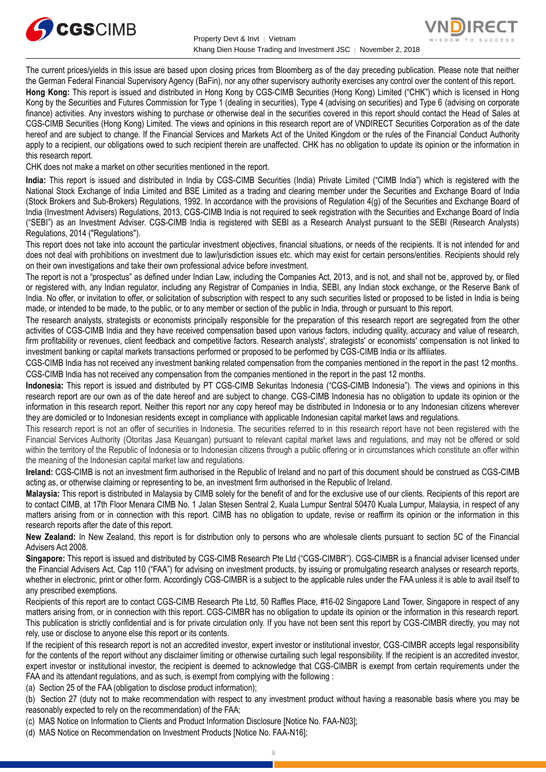



The current prices/yields in this issue are based upon closing prices from Bloomberg as of the day preceding publication. Please note that neither the German Federal Financial Supervisory Agency (BaFin), nor any other supervisory authority exercises any control over the content of this report.

**Hong Kong:** This report is issued and distributed in Hong Kong by CGS-CIMB Securities (Hong Kong) Limited ("CHK") which is licensed in Hong Kong by the Securities and Futures Commission for Type 1 (dealing in securities), Type 4 (advising on securities) and Type 6 (advising on corporate finance) activities. Any investors wishing to purchase or otherwise deal in the securities covered in this report should contact the Head of Sales at CGS-CIMB Securities (Hong Kong) Limited. The views and opinions in this research report are of VNDIRECT Securities Corporation as of the date hereof and are subject to change. If the Financial Services and Markets Act of the United Kingdom or the rules of the Financial Conduct Authority apply to a recipient, our obligations owed to such recipient therein are unaffected. CHK has no obligation to update its opinion or the information in this research report.

CHK does not make a market on other securities mentioned in the report.

**India:** This report is issued and distributed in India by CGS-CIMB Securities (India) Private Limited ("CIMB India") which is registered with the National Stock Exchange of India Limited and BSE Limited as a trading and clearing member under the Securities and Exchange Board of India (Stock Brokers and Sub-Brokers) Regulations, 1992. In accordance with the provisions of Regulation 4(g) of the Securities and Exchange Board of India (Investment Advisers) Regulations, 2013, CGS-CIMB India is not required to seek registration with the Securities and Exchange Board of India ("SEBI") as an Investment Adviser. CGS-CIMB India is registered with SEBI as a Research Analyst pursuant to the SEBI (Research Analysts) Regulations, 2014 ("Regulations").

This report does not take into account the particular investment objectives, financial situations, or needs of the recipients. It is not intended for and does not deal with prohibitions on investment due to law/jurisdiction issues etc. which may exist for certain persons/entities. Recipients should rely on their own investigations and take their own professional advice before investment.

The report is not a "prospectus" as defined under Indian Law, including the Companies Act, 2013, and is not, and shall not be, approved by, or filed or registered with, any Indian regulator, including any Registrar of Companies in India, SEBI, any Indian stock exchange, or the Reserve Bank of India. No offer, or invitation to offer, or solicitation of subscription with respect to any such securities listed or proposed to be listed in India is being made, or intended to be made, to the public, or to any member or section of the public in India, through or pursuant to this report.

The research analysts, strategists or economists principally responsible for the preparation of this research report are segregated from the other activities of CGS-CIMB India and they have received compensation based upon various factors, including quality, accuracy and value of research, firm profitability or revenues, client feedback and competitive factors. Research analysts', strategists' or economists' compensation is not linked to investment banking or capital markets transactions performed or proposed to be performed by CGS-CIMB India or its affiliates.

CGS-CIMB India has not received any investment banking related compensation from the companies mentioned in the report in the past 12 months. CGS-CIMB India has not received any compensation from the companies mentioned in the report in the past 12 months.

**Indonesia:** This report is issued and distributed by PT CGS-CIMB Sekuritas Indonesia ("CGS-CIMB Indonesia"). The views and opinions in this research report are our own as of the date hereof and are subject to change. CGS-CIMB Indonesia has no obligation to update its opinion or the information in this research report. Neither this report nor any copy hereof may be distributed in Indonesia or to any Indonesian citizens wherever they are domiciled or to Indonesian residents except in compliance with applicable Indonesian capital market laws and regulations.

This research report is not an offer of securities in Indonesia. The securities referred to in this research report have not been registered with the Financial Services Authority (Otoritas Jasa Keuangan) pursuant to relevant capital market laws and regulations, and may not be offered or sold within the territory of the Republic of Indonesia or to Indonesian citizens through a public offering or in circumstances which constitute an offer within the meaning of the Indonesian capital market law and regulations.

**Ireland:** CGS-CIMB is not an investment firm authorised in the Republic of Ireland and no part of this document should be construed as CGS-CIMB acting as, or otherwise claiming or representing to be, an investment firm authorised in the Republic of Ireland.

**Malaysia:** This report is distributed in Malaysia by CIMB solely for the benefit of and for the exclusive use of our clients. Recipients of this report are to contact CIMB, at 17th Floor Menara CIMB No. 1 Jalan Stesen Sentral 2, Kuala Lumpur Sentral 50470 Kuala Lumpur, Malaysia, in respect of any matters arising from or in connection with this report. CIMB has no obligation to update, revise or reaffirm its opinion or the information in this research reports after the date of this report.

**New Zealand:** In New Zealand, this report is for distribution only to persons who are wholesale clients pursuant to section 5C of the Financial Advisers Act 2008.

**Singapore:** This report is issued and distributed by CGS-CIMB Research Pte Ltd ("CGS-CIMBR"). CGS-CIMBR is a financial adviser licensed under the Financial Advisers Act, Cap 110 ("FAA") for advising on investment products, by issuing or promulgating research analyses or research reports, whether in electronic, print or other form. Accordingly CGS-CIMBR is a subject to the applicable rules under the FAA unless it is able to avail itself to any prescribed exemptions.

Recipients of this report are to contact CGS-CIMB Research Pte Ltd, 50 Raffles Place, #16-02 Singapore Land Tower, Singapore in respect of any matters arising from, or in connection with this report. CGS-CIMBR has no obligation to update its opinion or the information in this research report. This publication is strictly confidential and is for private circulation only. If you have not been sent this report by CGS-CIMBR directly, you may not rely, use or disclose to anyone else this report or its contents.

If the recipient of this research report is not an accredited investor, expert investor or institutional investor, CGS-CIMBR accepts legal responsibility for the contents of the report without any disclaimer limiting or otherwise curtailing such legal responsibility. If the recipient is an accredited investor, expert investor or institutional investor, the recipient is deemed to acknowledge that CGS-CIMBR is exempt from certain requirements under the FAA and its attendant regulations, and as such, is exempt from complying with the following :

(a) Section 25 of the FAA (obligation to disclose product information);

(b) Section 27 (duty not to make recommendation with respect to any investment product without having a reasonable basis where you may be reasonably expected to rely on the recommendation) of the FAA;

(c) MAS Notice on Information to Clients and Product Information Disclosure [Notice No. FAA-N03];

(d) MAS Notice on Recommendation on Investment Products [Notice No. FAA-N16];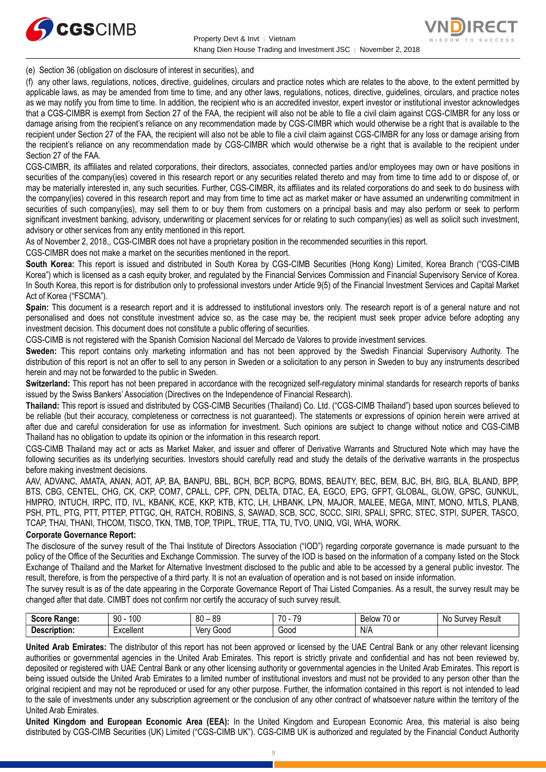



(e) Section 36 (obligation on disclosure of interest in securities), and

(f) any other laws, regulations, notices, directive, guidelines, circulars and practice notes which are relates to the above, to the extent permitted by applicable laws, as may be amended from time to time, and any other laws, regulations, notices, directive, guidelines, circulars, and practice notes as we may notify you from time to time. In addition, the recipient who is an accredited investor, expert investor or institutional investor acknowledges that a CGS-CIMBR is exempt from Section 27 of the FAA, the recipient will also not be able to file a civil claim against CGS-CIMBR for any loss or damage arising from the recipient's reliance on any recommendation made by CGS-CIMBR which would otherwise be a right that is available to the recipient under Section 27 of the FAA, the recipient will also not be able to file a civil claim against CGS-CIMBR for any loss or damage arising from the recipient's reliance on any recommendation made by CGS-CIMBR which would otherwise be a right that is available to the recipient under Section 27 of the FAA.

CGS-CIMBR, its affiliates and related corporations, their directors, associates, connected parties and/or employees may own or have positions in securities of the company(ies) covered in this research report or any securities related thereto and may from time to time add to or dispose of, or may be materially interested in, any such securities. Further, CGS-CIMBR, its affiliates and its related corporations do and seek to do business with the company(ies) covered in this research report and may from time to time act as market maker or have assumed an underwriting commitment in securities of such company(ies), may sell them to or buy them from customers on a principal basis and may also perform or seek to perform significant investment banking, advisory, underwriting or placement services for or relating to such company(ies) as well as solicit such investment, advisory or other services from any entity mentioned in this report.

As of November 2, 2018,, CGS-CIMBR does not have a proprietary position in the recommended securities in this report.

CGS-CIMBR does not make a market on the securities mentioned in the report.

**South Korea:** This report is issued and distributed in South Korea by CGS-CIMB Securities (Hong Kong) Limited, Korea Branch ("CGS-CIMB Korea") which is licensed as a cash equity broker, and regulated by the Financial Services Commission and Financial Supervisory Service of Korea. In South Korea, this report is for distribution only to professional investors under Article 9(5) of the Financial Investment Services and Capital Market Act of Korea ("FSCMA").

**Spain:** This document is a research report and it is addressed to institutional investors only. The research report is of a general nature and not personalised and does not constitute investment advice so, as the case may be, the recipient must seek proper advice before adopting any investment decision. This document does not constitute a public offering of securities.

CGS-CIMB is not registered with the Spanish Comision Nacional del Mercado de Valores to provide investment services.

**Sweden:** This report contains only marketing information and has not been approved by the Swedish Financial Supervisory Authority. The distribution of this report is not an offer to sell to any person in Sweden or a solicitation to any person in Sweden to buy any instruments described herein and may not be forwarded to the public in Sweden.

**Switzerland:** This report has not been prepared in accordance with the recognized self-regulatory minimal standards for research reports of banks issued by the Swiss Bankers' Association (Directives on the Independence of Financial Research).

**Thailand:** This report is issued and distributed by CGS-CIMB Securities (Thailand) Co. Ltd. ("CGS-CIMB Thailand") based upon sources believed to be reliable (but their accuracy, completeness or correctness is not guaranteed). The statements or expressions of opinion herein were arrived at after due and careful consideration for use as information for investment. Such opinions are subject to change without notice and CGS-CIMB Thailand has no obligation to update its opinion or the information in this research report.

CGS-CIMB Thailand may act or acts as Market Maker, and issuer and offerer of Derivative Warrants and Structured Note which may have the following securities as its underlying securities. Investors should carefully read and study the details of the derivative warrants in the prospectus before making investment decisions.

AAV, ADVANC, AMATA, ANAN, AOT, AP, BA, BANPU, BBL, BCH, BCP, BCPG, BDMS, BEAUTY, BEC, BEM, BJC, BH, BIG, BLA, BLAND, BPP, BTS, CBG, CENTEL, CHG, CK, CKP, COM7, CPALL, CPF, CPN, DELTA, DTAC, EA, EGCO, EPG, GFPT, GLOBAL, GLOW, GPSC, GUNKUL, HMPRO, INTUCH, IRPC, ITD, IVL, KBANK, KCE, KKP, KTB, KTC, LH, LHBANK, LPN, MAJOR, MALEE, MEGA, MINT, MONO, MTLS, PLANB, PSH, PTL, PTG, PTT, PTTEP, PTTGC, QH, RATCH, ROBINS, S, SAWAD, SCB, SCC, SCCC, SIRI, SPALI, SPRC, STEC, STPI, SUPER, TASCO, TCAP, THAI, THANI, THCOM, TISCO, TKN, TMB, TOP, TPIPL, TRUE, TTA, TU, TVO, UNIQ, VGI, WHA, WORK.

# **Corporate Governance Report:**

The disclosure of the survey result of the Thai Institute of Directors Association ("IOD") regarding corporate governance is made pursuant to the policy of the Office of the Securities and Exchange Commission. The survey of the IOD is based on the information of a company listed on the Stock Exchange of Thailand and the Market for Alternative Investment disclosed to the public and able to be accessed by a general public investor. The result, therefore, is from the perspective of a third party. It is not an evaluation of operation and is not based on inside information.

The survey result is as of the date appearing in the Corporate Governance Report of Thai Listed Companies. As a result, the survey result may be changed after that date. CIMBT does not confirm nor certify the accuracy of such survey result.

| <b>SCOLE</b><br><b>Range:</b> | 100<br>۵N<br>JU                              | 80<br>$\circ$<br>ంక<br>$\overline{\phantom{0}}$ | 70<br>$\overline{\phantom{a}}$<br>. . | $\sim$ $\sim$<br>Below<br>/U or | N0<br>Result<br>Survey |
|-------------------------------|----------------------------------------------|-------------------------------------------------|---------------------------------------|---------------------------------|------------------------|
| <b>Description.</b>           | -<br>Lyonllon <sup>+</sup><br>⊏xcelle⊓t<br>. | Ver<br>000نا                                    | Good<br>.                             | N/A                             |                        |

**United Arab Emirates:** The distributor of this report has not been approved or licensed by the UAE Central Bank or any other relevant licensing authorities or governmental agencies in the United Arab Emirates. This report is strictly private and confidential and has not been reviewed by, deposited or registered with UAE Central Bank or any other licensing authority or governmental agencies in the United Arab Emirates. This report is being issued outside the United Arab Emirates to a limited number of institutional investors and must not be provided to any person other than the original recipient and may not be reproduced or used for any other purpose. Further, the information contained in this report is not intended to lead to the sale of investments under any subscription agreement or the conclusion of any other contract of whatsoever nature within the territory of the United Arab Emirates.

**United Kingdom and European Economic Area (EEA):** In the United Kingdom and European Economic Area, this material is also being distributed by CGS-CIMB Securities (UK) Limited ("CGS-CIMB UK"). CGS-CIMB UK is authorized and regulated by the Financial Conduct Authority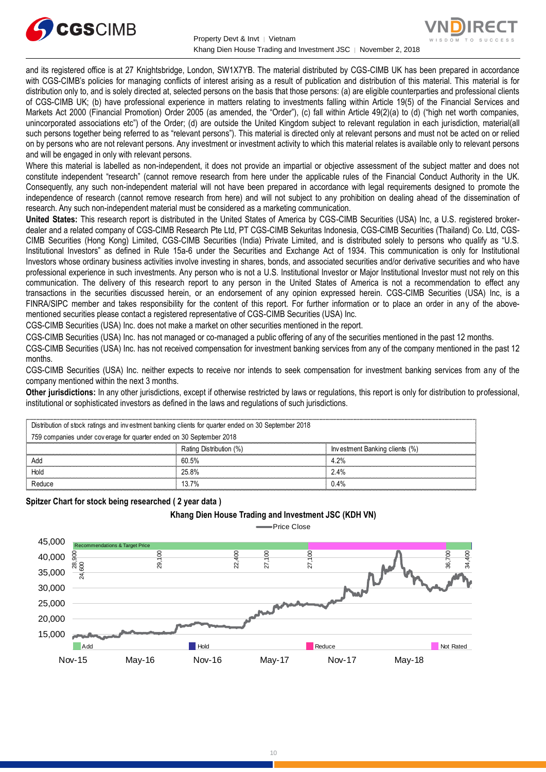



and its registered office is at 27 Knightsbridge, London, SW1X7YB. The material distributed by CGS-CIMB UK has been prepared in accordance with CGS-CIMB's policies for managing conflicts of interest arising as a result of publication and distribution of this material. This material is for distribution only to, and is solely directed at, selected persons on the basis that those persons: (a) are eligible counterparties and professional clients of CGS-CIMB UK; (b) have professional experience in matters relating to investments falling within Article 19(5) of the Financial Services and Markets Act 2000 (Financial Promotion) Order 2005 (as amended, the "Order"), (c) fall within Article 49(2)(a) to (d) ("high net worth companies, unincorporated associations etc") of the Order; (d) are outside the United Kingdom subject to relevant regulation in each jurisdiction, material(all such persons together being referred to as "relevant persons"). This material is directed only at relevant persons and must not be acted on or relied on by persons who are not relevant persons. Any investment or investment activity to which this material relates is available only to relevant persons and will be engaged in only with relevant persons.

Where this material is labelled as non-independent, it does not provide an impartial or objective assessment of the subject matter and does not constitute independent "research" (cannot remove research from here under the applicable rules of the Financial Conduct Authority in the UK. Consequently, any such non-independent material will not have been prepared in accordance with legal requirements designed to promote the independence of research (cannot remove research from here) and will not subject to any prohibition on dealing ahead of the dissemination of research. Any such non-independent material must be considered as a marketing communication.

**United States:** This research report is distributed in the United States of America by CGS-CIMB Securities (USA) Inc, a U.S. registered brokerdealer and a related company of CGS-CIMB Research Pte Ltd, PT CGS-CIMB Sekuritas Indonesia, CGS-CIMB Securities (Thailand) Co. Ltd, CGS-CIMB Securities (Hong Kong) Limited, CGS-CIMB Securities (India) Private Limited, and is distributed solely to persons who qualify as "U.S. Institutional Investors" as defined in Rule 15a-6 under the Securities and Exchange Act of 1934. This communication is only for Institutional Investors whose ordinary business activities involve investing in shares, bonds, and associated securities and/or derivative securities and who have professional experience in such investments. Any person who is not a U.S. Institutional Investor or Major Institutional Investor must not rely on this communication. The delivery of this research report to any person in the United States of America is not a recommendation to effect any transactions in the securities discussed herein, or an endorsement of any opinion expressed herein. CGS-CIMB Securities (USA) Inc, is a FINRA/SIPC member and takes responsibility for the content of this report. For further information or to place an order in any of the abovementioned securities please contact a registered representative of CGS-CIMB Securities (USA) Inc.

CGS-CIMB Securities (USA) Inc. does not make a market on other securities mentioned in the report.

CGS-CIMB Securities (USA) Inc. has not managed or co-managed a public offering of any of the securities mentioned in the past 12 months.

CGS-CIMB Securities (USA) Inc. has not received compensation for investment banking services from any of the company mentioned in the past 12 months.

CGS-CIMB Securities (USA) Inc. neither expects to receive nor intends to seek compensation for investment banking services from any of the company mentioned within the next 3 months.

Other jurisdictions: In any other jurisdictions, except if otherwise restricted by laws or regulations, this report is only for distribution to professional,<br>institutional or sophisticated investors as defined in the laws

| institutional or sophisticated investors as defined in the laws and regulations of such jurisdictions. |                         |                                |  |  |  |  |
|--------------------------------------------------------------------------------------------------------|-------------------------|--------------------------------|--|--|--|--|
| Distribution of stock ratings and investment banking clients for quarter ended on 30 September 2018    |                         |                                |  |  |  |  |
| 759 companies under coverage for quarter ended on 30 September 2018                                    |                         |                                |  |  |  |  |
|                                                                                                        | Rating Distribution (%) | Investment Banking clients (%) |  |  |  |  |
| Add                                                                                                    | 60.5%                   | 4.2%                           |  |  |  |  |
| Hold                                                                                                   | 25.8%                   | 2.4%                           |  |  |  |  |
| Reduce                                                                                                 | 13.7%                   | 0.4%                           |  |  |  |  |

# **Spitzer Chart for stock being researched ( 2 year data )**

# **Khang Dien House Trading and Investment JSC (KDH VN)**